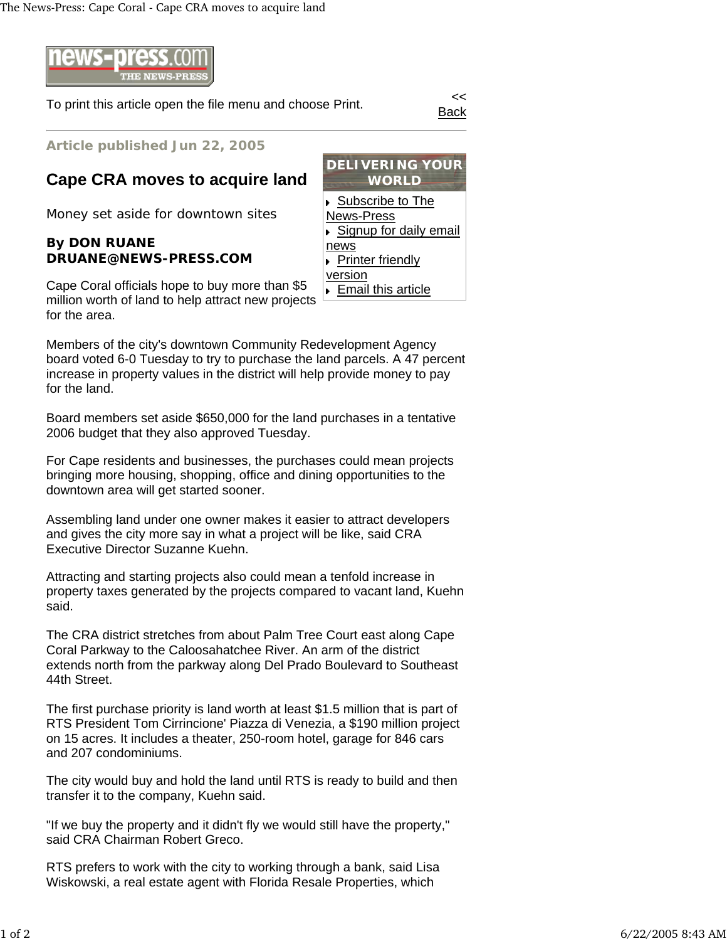

To print this article open the file menu and choose Print.

Back

**Article published Jun 22, 2005**

## **Cape CRA moves to acquire land**

Money set aside for downtown sites

## **By DON RUANE DRUANE@NEWS-PRESS.COM**

Cape Coral officials hope to buy more than \$5 million worth of land to help attract new projects for the area.

Members of the city's downtown Community Redevelopment Agency board voted 6-0 Tuesday to try to purchase the land parcels. A 47 percent increase in property values in the district will help provide money to pay for the land.

Board members set aside \$650,000 for the land purchases in a tentative 2006 budget that they also approved Tuesday.

For Cape residents and businesses, the purchases could mean projects bringing more housing, shopping, office and dining opportunities to the downtown area will get started sooner.

Assembling land under one owner makes it easier to attract developers and gives the city more say in what a project will be like, said CRA Executive Director Suzanne Kuehn.

Attracting and starting projects also could mean a tenfold increase in property taxes generated by the projects compared to vacant land, Kuehn said.

The CRA district stretches from about Palm Tree Court east along Cape Coral Parkway to the Caloosahatchee River. An arm of the district extends north from the parkway along Del Prado Boulevard to Southeast 44th Street.

The first purchase priority is land worth at least \$1.5 million that is part of RTS President Tom Cirrincione' Piazza di Venezia, a \$190 million project on 15 acres. It includes a theater, 250-room hotel, garage for 846 cars and 207 condominiums.

The city would buy and hold the land until RTS is ready to build and then transfer it to the company, Kuehn said.

"If we buy the property and it didn't fly we would still have the property," said CRA Chairman Robert Greco.

RTS prefers to work with the city to working through a bank, said Lisa Wiskowski, a real estate agent with Florida Resale Properties, which